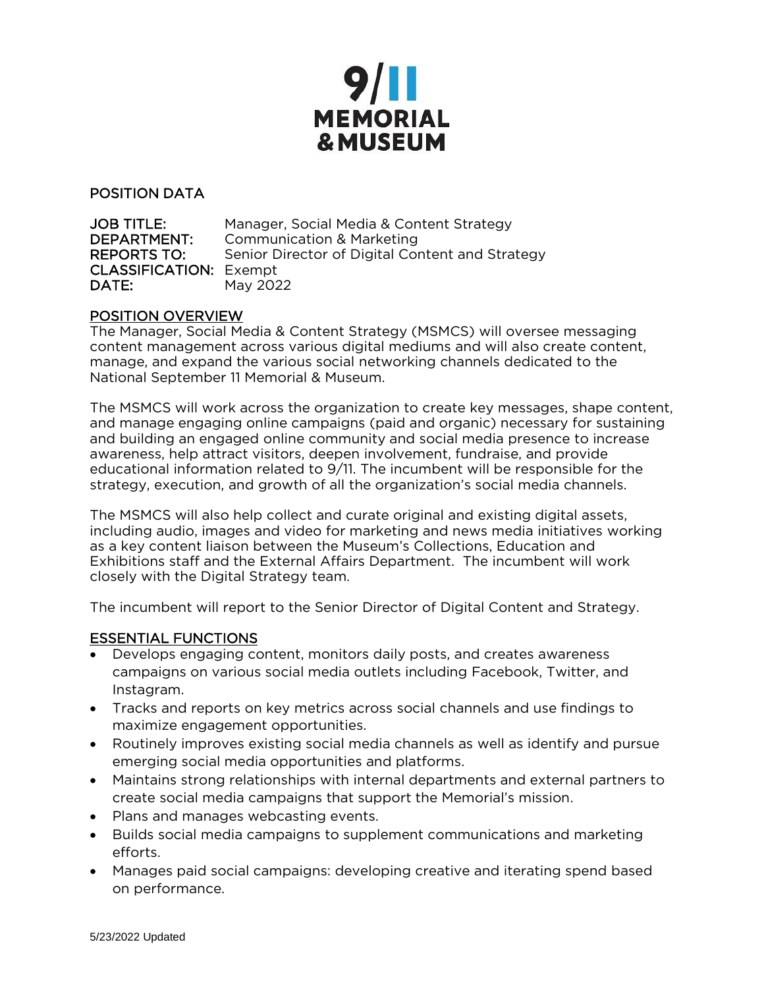

POSITION DATA

JOB TITLE: Manager, Social Media & Content Strategy DEPARTMENT: Communication & Marketing REPORTS TO: Senior Director of Digital Content and Strategy CLASSIFICATION: Exempt **DATE:** May 2022

#### POSITION OVERVIEW

The Manager, Social Media & Content Strategy (MSMCS) will oversee messaging content management across various digital mediums and will also create content, manage, and expand the various social networking channels dedicated to the National September 11 Memorial & Museum.

The MSMCS will work across the organization to create key messages, shape content, and manage engaging online campaigns (paid and organic) necessary for sustaining and building an engaged online community and social media presence to increase awareness, help attract visitors, deepen involvement, fundraise, and provide educational information related to 9/11. The incumbent will be responsible for the strategy, execution, and growth of all the organization's social media channels.

The MSMCS will also help collect and curate original and existing digital assets, including audio, images and video for marketing and news media initiatives working as a key content liaison between the Museum's Collections, Education and Exhibitions staff and the External Affairs Department. The incumbent will work closely with the Digital Strategy team.

The incumbent will report to the Senior Director of Digital Content and Strategy.

#### ESSENTIAL FUNCTIONS

- Develops engaging content, monitors daily posts, and creates awareness campaigns on various social media outlets including Facebook, Twitter, and Instagram.
- Tracks and reports on key metrics across social channels and use findings to maximize engagement opportunities.
- Routinely improves existing social media channels as well as identify and pursue emerging social media opportunities and platforms.
- Maintains strong relationships with internal departments and external partners to create social media campaigns that support the Memorial's mission.
- Plans and manages webcasting events.
- Builds social media campaigns to supplement communications and marketing efforts.
- Manages paid social campaigns: developing creative and iterating spend based on performance.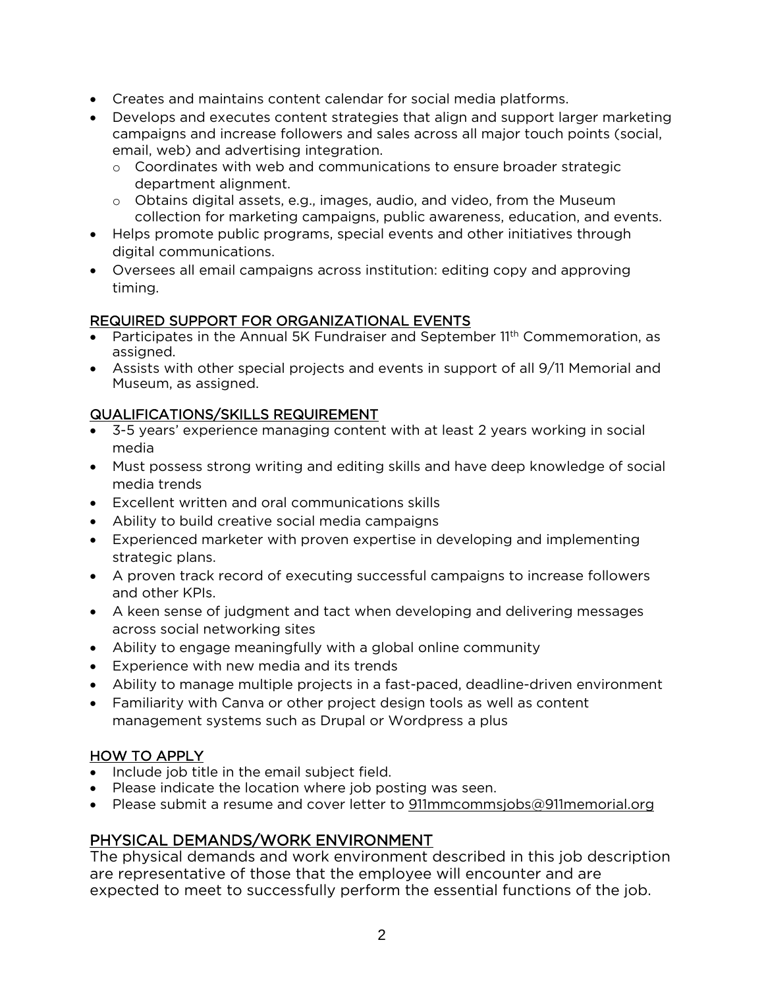- Creates and maintains content calendar for social media platforms.
- Develops and executes content strategies that align and support larger marketing campaigns and increase followers and sales across all major touch points (social, email, web) and advertising integration.
	- $\circ$  Coordinates with web and communications to ensure broader strategic department alignment.
	- o Obtains digital assets, e.g., images, audio, and video, from the Museum collection for marketing campaigns, public awareness, education, and events.
- Helps promote public programs, special events and other initiatives through digital communications.
- Oversees all email campaigns across institution: editing copy and approving timing.

## REQUIRED SUPPORT FOR ORGANIZATIONAL EVENTS

- Participates in the Annual 5K Fundraiser and September 11<sup>th</sup> Commemoration, as assigned.
- Assists with other special projects and events in support of all 9/11 Memorial and Museum, as assigned.

## QUALIFICATIONS/SKILLS REQUIREMENT

- 3-5 years' experience managing content with at least 2 years working in social media
- Must possess strong writing and editing skills and have deep knowledge of social media trends
- Excellent written and oral communications skills
- Ability to build creative social media campaigns
- Experienced marketer with proven expertise in developing and implementing strategic plans.
- A proven track record of executing successful campaigns to increase followers and other KPIs.
- A keen sense of judgment and tact when developing and delivering messages across social networking sites
- Ability to engage meaningfully with a global online community
- Experience with new media and its trends
- Ability to manage multiple projects in a fast-paced, deadline-driven environment
- Familiarity with Canva or other project design tools as well as content management systems such as Drupal or Wordpress a plus

# HOW TO APPLY

- Include job title in the email subject field.
- Please indicate the location where job posting was seen.
- Please submit a resume and cover letter to [911mmcommsjobs@911memorial.org](mailto:911mmcommsjobs@911memorial.org)

# PHYSICAL DEMANDS/WORK ENVIRONMENT

The physical demands and work environment described in this job description are representative of those that the employee will encounter and are expected to meet to successfully perform the essential functions of the job.